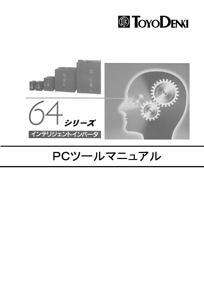



## PCツールマニュアル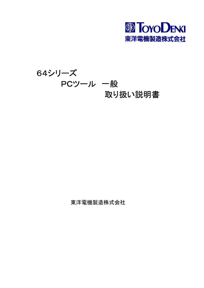

## 64シリーズ PCツール 一般 取り扱い説明書

東洋電機製造株式会社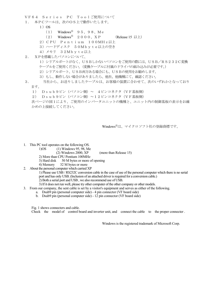- VF64 Series PC Toolご使用について
- 本PCツールは、次のOS上で動作いたします。  $1<sup>1</sup>$ 
	- $1)$  OS
		- Windows  $\mathbb{B}$  95, 98, Me  $(1)$
		- Windows<sup>®</sup> 2000, XP  $(2)$ (Release 15  $\cup$  F)
	- 2) CPU Pentium 100MHz以上
	- 3) ハードディスク 50Mb y t e 以上の空き
	-
- XPを搭載したパソコンについて、 2.
	- 1) シリアルポートがなく、USBしかないパソコンをご使用の際には、USB/RS232C変換 ケーブルをご使用ください。(変換ケーブルに付属のドライバの組み込みが必要です。)
	- 2) シリアルポート、USB両方ある場合にも、USBの使用をお勧めします。
	- 3) もし、動作しない場合がありましたら、他社、他機種にて、確認ください。
- 当社から、お送りしましたケーブルは、お客様の装置に合わせて、次のいずれかとなっており  $3.$ ます。
	- 1) Dsub 9ピン (パソコン側) ~ 4ピンコネクタ (VF基板側)
	- 2) Dsub 9ピン (パソコン側) ~12ピンコネクタ (VF基板側)

次ページの図1により、ご使用のインバータユニットの機種と、ユニット内の制御基板の表示をお確 かめの上接続してください。

Windows<sup>®</sup>は、マイクロソフト社の登録商標です。

- 1. This PC tool operates on the following OS.
	- $1)OS$ (1) Windows 95, 98. Me

 $(2)$  Windows 2000. XP

(more than Release 15)

- 2) More than CPU Pentium 100MHz
- 3) Hard disk 50 M bytes or more of opening
- 4) Memory 32 M bytes or more
- 2. About the personal computer which carried XP

1) Please use USB / RS232C conversion cable in the case of use of the personal computer which there is no serial port and has only USB. (Inclusion of an attached driver is required for a conversion cable.)

- 2) Both a serial port and USB, we also recommend use of USB.
- 3) If it does not run well, please try other computer of the other company or other models.
- 3. From our company, the sent cable is set by a visitor's equipment and serves as either of the following.
	- a. Dsub9 pin (personal computer side) 4 pin connector (VF board side)
	- b. Dsub9 pin (personal computer side) 12 pin connector (VF board side)

Fig. 1 shows connecters and cable.

Check the model of control board and inverter unit, and connect the cable to the proper connecter.

Windows is the registered trademark of Microsoft Corp.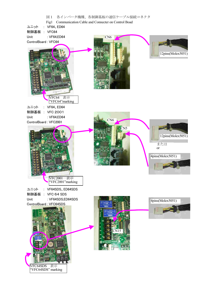